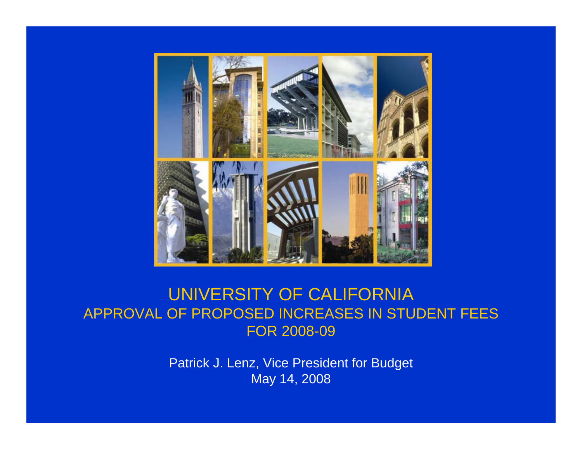

### UNIVERSITY OF CALIFORNIA APPROVAL OF PROPOSED INCREASES IN STUDENT FEES FOR 2008-09

Patrick J. Lenz, Vice President for Budget May 14, 2008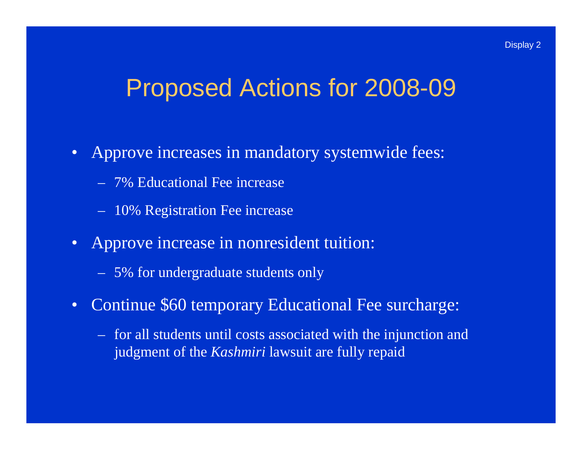### Proposed Actions for 2008-09

- Approve increases in mandatory systemwide fees:
	- 7% Educational Fee increase
	- 10% Registration Fee increase
- Approve increase in nonresident tuition:
	- 5% for undergraduate students only
- $\bullet$  Continue \$60 temporary Educational Fee surcharge:
	- for all students until costs associated with the injunction and judgment of the *Kashmiri* lawsuit are fully repaid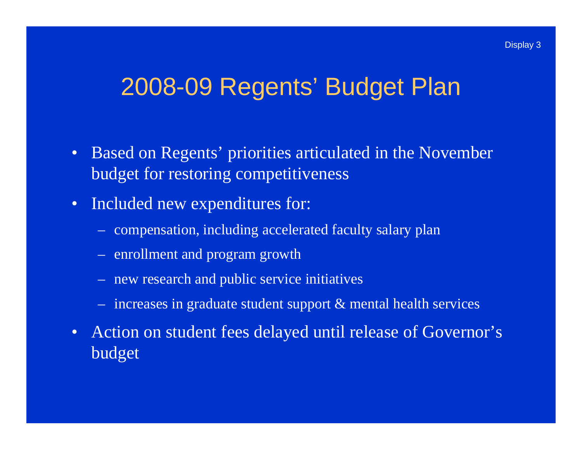### 2008-09 Regents' Budget Plan

- Based on Regents' priorities articulated in the November budget for restoring competitiveness
- $\bullet$  Included new expenditures for:
	- compensation, including accelerated faculty salary plan
	- enrollment and program growth
	- new research and public service initiatives
	- increases in graduate student support & mental health services
- Action on student fees delayed until release of Governor's budget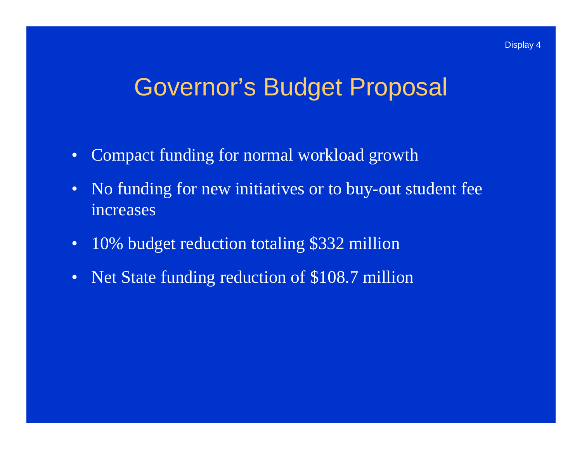### Governor's Budget Proposal

- •Compact funding for normal workload growth
- No funding for new initiatives or to buy-out student fee increases
- $\bullet$ 10% budget reduction totaling \$332 million
- $\bullet$ Net State funding reduction of \$108.7 million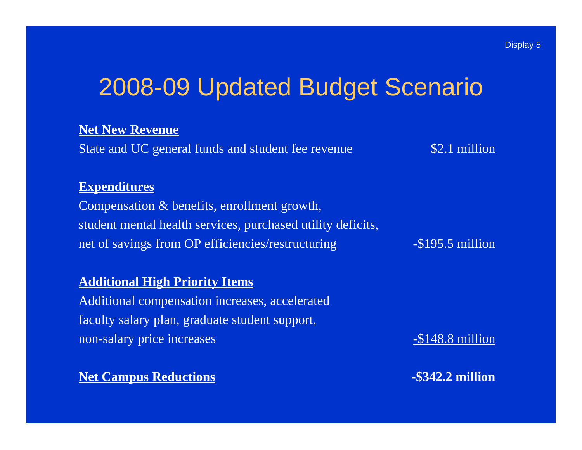# 2008-09 Updated Budget Scenario

### **Net New Revenue**

State and UC general funds and student fee revenue \$2.1 million

#### **Expenditures**

Compensation & benefits, enrollment growth, student mental health services, purchased utility deficits, net of savings from OP efficiencies/restructuring -\$195.5 million

#### **Additional High Priority Items**

Additional compensation increases, accelerated faculty salary plan, graduate student support, non-salary price increases  $-$ \$148.8 million

**Net Campus Reductions 1988 1989 1989 1989 1989 1989 1989 1989 1989 1989 1989 1989 1989 1989**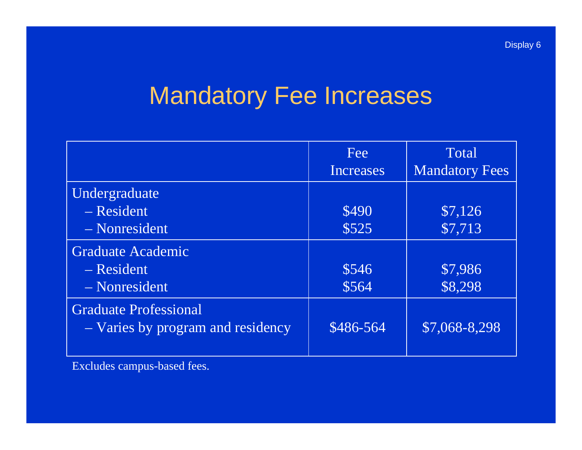# Mandatory Fee Increases

| Fee          | Total                 |
|--------------|-----------------------|
| Increases    | <b>Mandatory Fees</b> |
|              |                       |
| \$490        | \$7,126               |
| \$525        | \$7,713               |
|              |                       |
| \$546        | \$7,986               |
| \$564        | \$8,298               |
| $$486 - 564$ | \$7,068-8,298         |
|              |                       |

Excludes campus-based fees.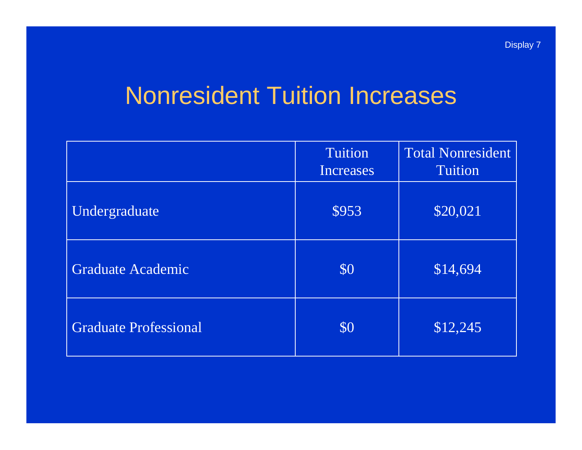### Nonresident Tuition Increases

|                              | Tuition<br><b>Increases</b> | <b>Total Nonresident</b><br><b>Tuition</b> |
|------------------------------|-----------------------------|--------------------------------------------|
| Undergraduate                | \$953                       | \$20,021                                   |
| Graduate Academic            | \$0                         | \$14,694                                   |
| <b>Graduate Professional</b> | \$0                         | \$12,245                                   |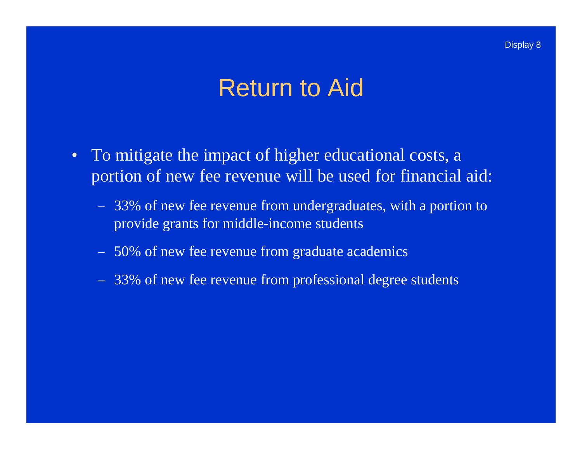### Return to Aid

- To mitigate the impact of higher educational costs, a portion of new fee revenue will be used for financial aid:
	- 33% of new fee revenue from undergraduates, with a portion to provide grants for middle-income students
	- 50% of new fee revenue from graduate academics
	- 33% of new fee revenue from professional degree students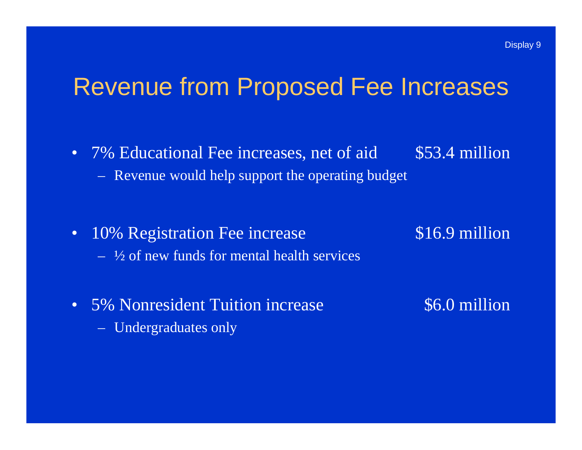### Revenue from Proposed Fee Increases

- 7% Educational Fee increases, net of aid \$53.4 million
	-
	- Revenue would help support the operating budget
- 10% Registration Fee increase \$16.9 million  $-$  ½ of new funds for mental health services
- 

- 5% Nonresident Tuition increase  $$6.0$  million
	- Undergraduates only